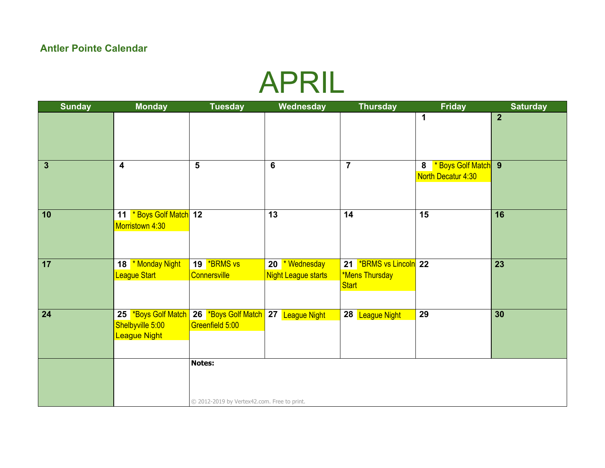### APRIL

| <b>Sunday</b>  | <b>Monday</b>                                                  | <b>Tuesday</b>                                               | Wednesday                                    | <b>Thursday</b>                                   | <b>Friday</b>                                  | <b>Saturday</b> |
|----------------|----------------------------------------------------------------|--------------------------------------------------------------|----------------------------------------------|---------------------------------------------------|------------------------------------------------|-----------------|
|                |                                                                |                                                              |                                              |                                                   | $\mathbf 1$                                    | $\overline{2}$  |
| $\overline{3}$ | $\overline{\mathbf{4}}$                                        | $5\phantom{1}$                                               | $6\phantom{1}$                               | $\overline{7}$                                    | * Boys Golf Match 9<br>8<br>North Decatur 4:30 |                 |
|                |                                                                |                                                              |                                              |                                                   |                                                |                 |
| 10             | 11 * Boys Golf Match 12<br>Morristown 4:30                     |                                                              | 13                                           | 14                                                | 15                                             | 16              |
| 17             | 18 * Monday Night<br>League Start                              | 19 <b>*BRMS</b> vs<br>Connersville                           | 20 * Wednesday<br><b>Night League starts</b> | 21 *BRMS vs Lincoln 22<br>*Mens Thursday<br>Start |                                                | 23              |
| 24             | 25 *Boys Golf Match<br>Shelbyville 5:00<br><b>League Night</b> | 26 *Boys Golf Match 27 League Night<br>Greenfield 5:00       |                                              | 28 League Night                                   | 29                                             | 30              |
|                |                                                                | <b>Notes:</b><br>© 2012-2019 by Vertex42.com. Free to print. |                                              |                                                   |                                                |                 |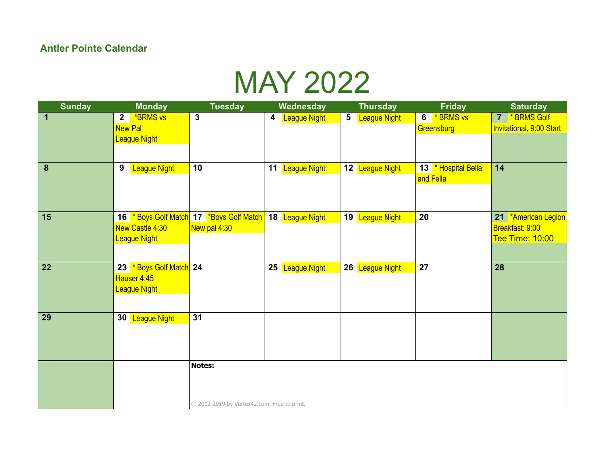### MAY 2022

| <b>Sunday</b>    | <b>Monday</b>                     | <b>Tuesday</b>                              | Wednesday                | <b>Thursday</b>                        | <b>Friday</b>       | <b>Saturday</b>          |
|------------------|-----------------------------------|---------------------------------------------|--------------------------|----------------------------------------|---------------------|--------------------------|
| $\mathbf 1$      | <b>*BRMS vs</b><br>$\overline{2}$ | $\mathbf{3}$                                | 4<br><b>League Night</b> | $5\phantom{.0}$<br><b>League Night</b> | 6 *BRMS vs          | 7 * BRMS Golf            |
|                  | <b>New Pal</b>                    |                                             |                          |                                        | Greensburg          | Invitational, 9:00 Start |
|                  | League Night                      |                                             |                          |                                        |                     |                          |
|                  |                                   |                                             |                          |                                        |                     |                          |
| $\boldsymbol{8}$ | 9<br><b>League Night</b>          | 10                                          | 11 League Night          | 12 League Night                        | 13 * Hospital Bella | 14                       |
|                  |                                   |                                             |                          |                                        | and Fella           |                          |
|                  |                                   |                                             |                          |                                        |                     |                          |
|                  |                                   |                                             |                          |                                        |                     |                          |
| 15               |                                   | 16 * Boys Golf Match 17 * Boys Golf Match   | 18 League Night          | 19 League Night                        | 20                  | 21 *American Legion      |
|                  | New Castle 4:30                   | New pal 4:30                                |                          |                                        |                     | Breakfast: 9:00          |
|                  | League Night                      |                                             |                          |                                        |                     | <b>Tee Time: 10:00</b>   |
|                  |                                   |                                             |                          |                                        |                     |                          |
|                  |                                   |                                             |                          |                                        |                     |                          |
| 22               | 23 * Boys Golf Match 24           |                                             | 25 League Night          | 26 League Night                        | 27                  | 28                       |
|                  | Hauser 4:45                       |                                             |                          |                                        |                     |                          |
|                  | League Night                      |                                             |                          |                                        |                     |                          |
|                  |                                   |                                             |                          |                                        |                     |                          |
| $\boxed{29}$     | 30 League Night                   | 31                                          |                          |                                        |                     |                          |
|                  |                                   |                                             |                          |                                        |                     |                          |
|                  |                                   |                                             |                          |                                        |                     |                          |
|                  |                                   |                                             |                          |                                        |                     |                          |
|                  |                                   | <b>Notes:</b>                               |                          |                                        |                     |                          |
|                  |                                   |                                             |                          |                                        |                     |                          |
|                  |                                   |                                             |                          |                                        |                     |                          |
|                  |                                   |                                             |                          |                                        |                     |                          |
|                  |                                   | © 2012-2019 by Vertex42.com. Free to print. |                          |                                        |                     |                          |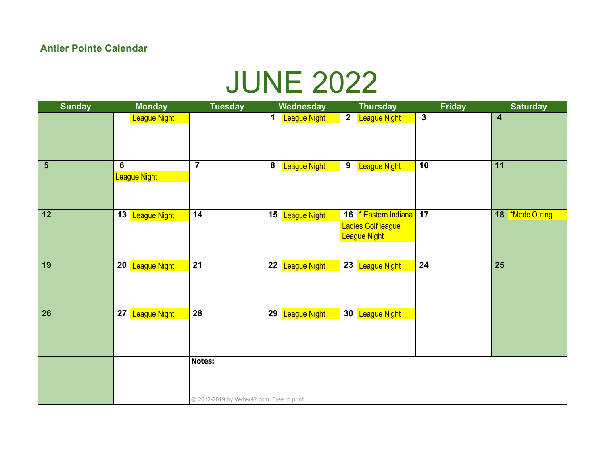# JUNE 2022

| <b>Sunday</b>  | <b>Monday</b>                  | <b>Tuesday</b>                                               | Wednesday                               | <b>Thursday</b>                                            | <b>Friday</b>           | <b>Saturday</b>         |
|----------------|--------------------------------|--------------------------------------------------------------|-----------------------------------------|------------------------------------------------------------|-------------------------|-------------------------|
|                | <b>League Night</b>            |                                                              | <b>League Night</b><br>1                | $\mathbf{2}$<br><b>League Night</b>                        | $\overline{\mathbf{3}}$ | $\overline{\mathbf{4}}$ |
| $5\phantom{1}$ | $6\phantom{a}$<br>League Night | $\overline{\mathbf{7}}$                                      | $\boldsymbol{8}$<br><b>League Night</b> | 9<br><b>League Night</b>                                   | 10                      | 11                      |
| $\boxed{12}$   | 13 League Night                | 14                                                           | 15 League Night                         | 16 * Eastern Indiana<br>Ladies Golf league<br>League Night | 17                      | 18 *Medc Outing         |
| 19             | 20 League Night                | 21                                                           | 22<br>League Night                      | 23 League Night                                            | 24                      | 25                      |
| 26             | 27<br><b>League Night</b>      | 28                                                           | 29<br><b>League Night</b>               | 30 League Night                                            |                         |                         |
|                |                                | <b>Notes:</b><br>© 2012-2019 by Vertex42.com. Free to print. |                                         |                                                            |                         |                         |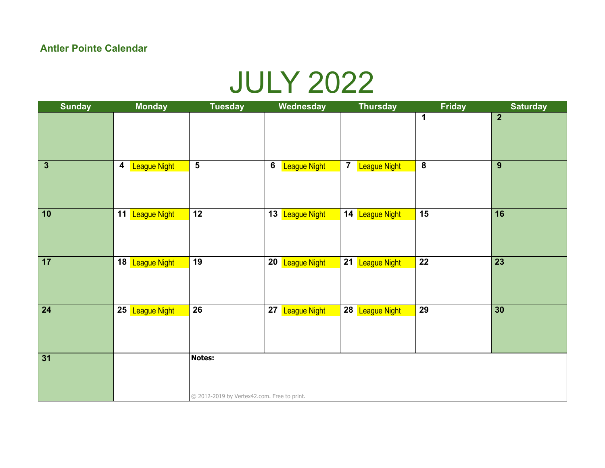### JULY 2022

| <b>Sunday</b>   | <b>Monday</b>                    | <b>Tuesday</b>                                        | Wednesday                 | <b>Thursday</b>                       | <b>Friday</b>           | <b>Saturday</b> |
|-----------------|----------------------------------|-------------------------------------------------------|---------------------------|---------------------------------------|-------------------------|-----------------|
|                 |                                  |                                                       |                           |                                       | 1                       | $\overline{2}$  |
| $\mathbf{3}$    | League Night<br>$\boldsymbol{4}$ | $\overline{\mathbf{5}}$                               | 6<br><b>League Night</b>  | $\overline{7}$<br><b>League Night</b> | $\overline{\mathbf{8}}$ | 9               |
| $\boxed{10}$    | 11 League Night                  | $\overline{12}$                                       | 13 League Night           | 14 League Night                       | $\overline{15}$         | $\overline{16}$ |
| $\overline{17}$ | 18 League Night                  | $\overline{19}$                                       | 20 League Night           | 21 League Night                       | $\overline{22}$         | $\overline{23}$ |
| $\sqrt{24}$     | 25 League Night                  | 26                                                    | 27<br><b>League Night</b> | 28 League Night                       | 29                      | 30              |
| 31              |                                  | Notes:<br>© 2012-2019 by Vertex42.com. Free to print. |                           |                                       |                         |                 |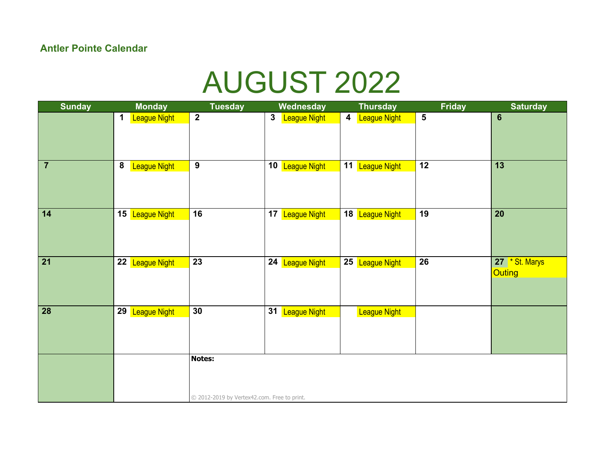### AUGUST 2022

| <b>Sunday</b>   | <b>Monday</b>                    | <b>Tuesday</b>                                        | Wednesday                    | <b>Thursday</b>                                | <b>Friday</b>           | <b>Saturday</b>                 |
|-----------------|----------------------------------|-------------------------------------------------------|------------------------------|------------------------------------------------|-------------------------|---------------------------------|
|                 | 1<br><b>League Night</b>         | $\overline{2}$                                        | $\mathbf{3}$<br>League Night | $\overline{\mathbf{4}}$<br><b>League Night</b> | $\overline{\mathbf{5}}$ | $6\phantom{1}6$                 |
| $\overline{7}$  | ${\bf 8}$<br><b>League Night</b> | $\overline{9}$                                        | 10 League Night              | 11 League Night                                | 12                      | $\overline{13}$                 |
| $\boxed{14}$    | 15 League Night                  | $\overline{16}$                                       | 17<br>League Night           | 18 League Night                                | $\overline{19}$         | $\overline{20}$                 |
| $\overline{21}$ | 22 League Night                  | $\overline{23}$                                       | 24 League Night              | 25 League Night                                | $\overline{26}$         | 27 * St. Marys<br><b>Outing</b> |
| 28              | 29<br><b>League Night</b>        | 30                                                    | 31 League Night              | <b>League Night</b>                            |                         |                                 |
|                 |                                  | Notes:<br>© 2012-2019 by Vertex42.com. Free to print. |                              |                                                |                         |                                 |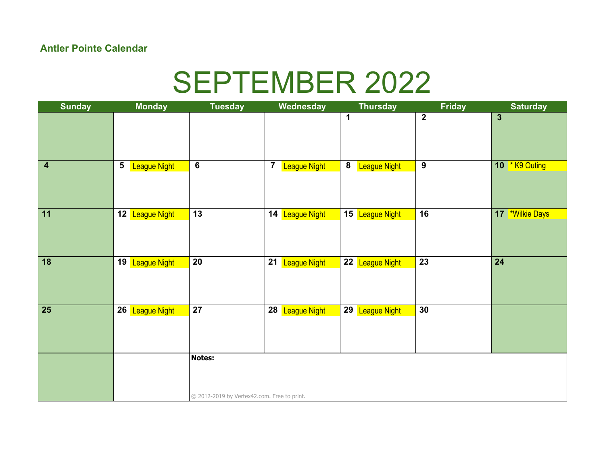## SEPTEMBER 2022

| <b>Sunday</b>    | <b>Monday</b>                    | <b>Tuesday</b>                                               | Wednesday                                      | <b>Thursday</b>          | <b>Friday</b>    | <b>Saturday</b>       |
|------------------|----------------------------------|--------------------------------------------------------------|------------------------------------------------|--------------------------|------------------|-----------------------|
|                  |                                  |                                                              |                                                | $\blacktriangleleft$     | $\overline{2}$   | $\mathbf{3}$          |
| $\boldsymbol{4}$ | ${\bf 5}$<br><b>League Night</b> | 6                                                            | $\overline{\mathbf{7}}$<br><b>League Night</b> | 8<br><b>League Night</b> | $\boldsymbol{9}$ | 10 <b>* K9 Outing</b> |
| $\boxed{11}$     | 12 League Night                  | $\overline{13}$                                              | 14 League Night                                | 15 League Night          | 16               | 17 *Wilkie Days       |
| 18               | 19 League Night                  | 20                                                           | 21<br>League Night                             | 22 League Night          | $\overline{23}$  | $\overline{24}$       |
| 25               | 26 League Night                  | 27                                                           | 28 League Night                                | 29 League Night          | 30               |                       |
|                  |                                  | <b>Notes:</b><br>© 2012-2019 by Vertex42.com. Free to print. |                                                |                          |                  |                       |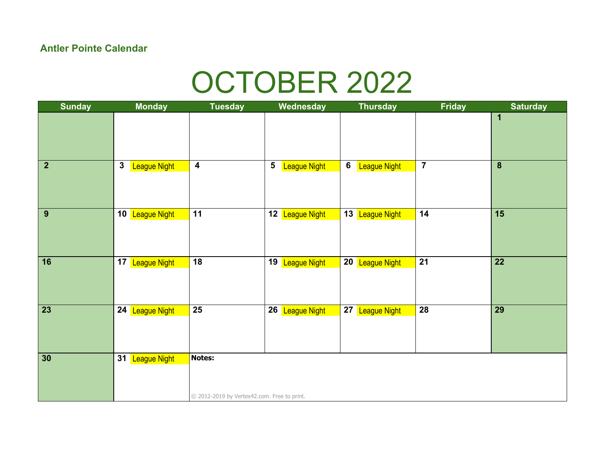## OCTOBER 2022

| <b>Sunday</b>   | <b>Monday</b>                       | <b>Tuesday</b>                                        | Wednesday                                      | <b>Thursday</b>                | <b>Friday</b>   | <b>Saturday</b> |
|-----------------|-------------------------------------|-------------------------------------------------------|------------------------------------------------|--------------------------------|-----------------|-----------------|
|                 |                                     |                                                       |                                                |                                |                 | 1               |
|                 |                                     |                                                       |                                                |                                |                 |                 |
| $\overline{2}$  | $\mathbf{3}$<br><b>League Night</b> | $\overline{4}$                                        | $\overline{\mathbf{5}}$<br><b>League Night</b> | $6\phantom{1}$<br>League Night | $\overline{7}$  | 8               |
| $\overline{9}$  | 10 League Night                     | $\overline{11}$                                       | 12 League Night                                | 13 League Night                | $\overline{14}$ | 15              |
| $\overline{16}$ | 17 League Night                     | $\overline{18}$                                       | 19 League Night                                | 20 League Night                | $\overline{21}$ | $\overline{22}$ |
| $\sqrt{23}$     | 24 League Night                     | $\overline{25}$                                       | 26 League Night                                | 27 League Night                | $\overline{28}$ | $\overline{29}$ |
| $\overline{30}$ | 31 League Night                     | Notes:<br>© 2012-2019 by Vertex42.com. Free to print. |                                                |                                |                 |                 |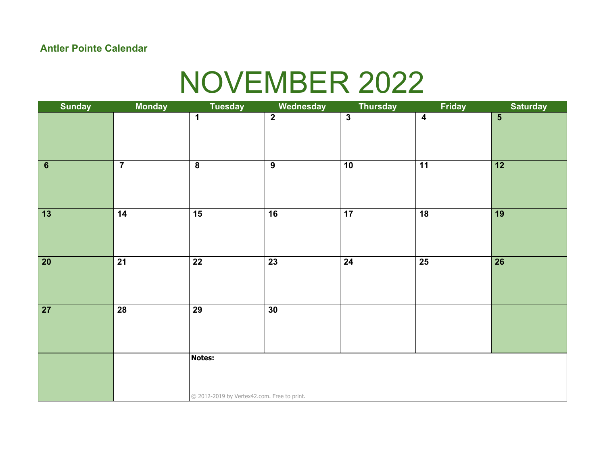# NOVEMBER 2022

| <b>Sunday</b>   | <b>Monday</b>   | <b>Tuesday</b>                              | Wednesday       | <b>Thursday</b>         | Friday           | <b>Saturday</b>         |  |  |
|-----------------|-----------------|---------------------------------------------|-----------------|-------------------------|------------------|-------------------------|--|--|
|                 |                 | $\mathbf 1$                                 | $\overline{2}$  | $\overline{\mathbf{3}}$ | $\boldsymbol{4}$ | $\overline{\mathbf{5}}$ |  |  |
|                 |                 |                                             |                 |                         |                  |                         |  |  |
| $\overline{6}$  | $\overline{7}$  | $\overline{\mathbf{8}}$                     | $\overline{9}$  | $\overline{10}$         | $\overline{11}$  | $\overline{12}$         |  |  |
| $\overline{13}$ | $\overline{14}$ | $\overline{15}$                             | $\overline{16}$ | $\overline{17}$         | $\overline{18}$  | $\overline{19}$         |  |  |
| $\boxed{20}$    | $\overline{21}$ | $\overline{22}$                             | $\overline{23}$ | $\overline{24}$         | $\overline{25}$  | $\overline{26}$         |  |  |
| $\sqrt{27}$     | $\overline{28}$ | $\overline{29}$                             | $\overline{30}$ |                         |                  |                         |  |  |
|                 |                 | Notes:                                      |                 |                         |                  |                         |  |  |
|                 |                 | © 2012-2019 by Vertex42.com. Free to print. |                 |                         |                  |                         |  |  |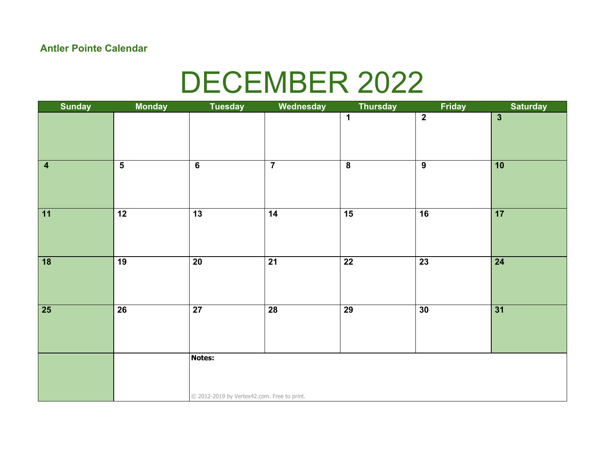## DECEMBER 2022

| <b>Sunday</b>   | <b>Monday</b>           | <b>Tuesday</b>                              | Wednesday       | <b>Thursday</b>         | Friday          | <b>Saturday</b> |  |
|-----------------|-------------------------|---------------------------------------------|-----------------|-------------------------|-----------------|-----------------|--|
|                 |                         |                                             |                 | $\mathbf{1}$            | $\overline{2}$  | $\overline{3}$  |  |
|                 |                         |                                             |                 |                         |                 |                 |  |
| $\vert 4$       | $\overline{\mathbf{5}}$ | $6\overline{6}$                             | $\overline{7}$  | $\overline{\mathbf{8}}$ | $\overline{9}$  | 10              |  |
| $\overline{11}$ | $\overline{12}$         | $\overline{13}$                             | $\overline{14}$ | $\overline{15}$         | $\overline{16}$ | $\overline{17}$ |  |
| $\overline{18}$ | $\overline{19}$         | $\overline{20}$                             | $\overline{21}$ | $\overline{22}$         | $\overline{23}$ | $\overline{24}$ |  |
| $\overline{25}$ | $\overline{26}$         | $\overline{27}$                             | $\overline{28}$ | $\overline{29}$         | $\overline{30}$ | $\overline{31}$ |  |
|                 |                         | Notes:                                      |                 |                         |                 |                 |  |
|                 |                         | © 2012-2019 by Vertex42.com. Free to print. |                 |                         |                 |                 |  |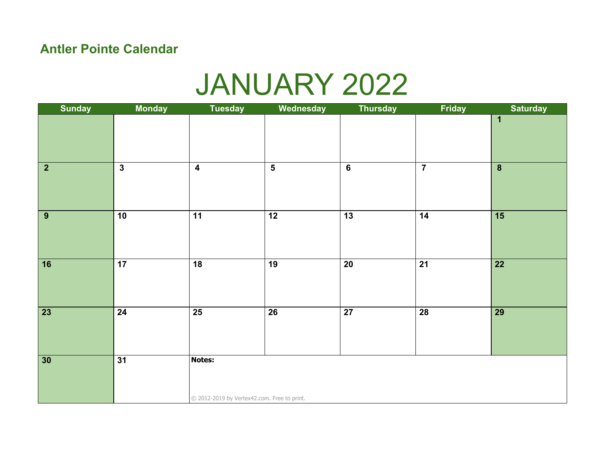### JANUARY 2022

| <b>Sunday</b>                      | <b>Monday</b>           | <b>Tuesday</b>                              | Wednesday               | <b>Thursday</b> | Friday                  | <b>Saturday</b>  |
|------------------------------------|-------------------------|---------------------------------------------|-------------------------|-----------------|-------------------------|------------------|
|                                    |                         |                                             |                         |                 |                         | 1                |
|                                    |                         |                                             |                         |                 |                         |                  |
| $\overline{2}$                     | $\overline{\mathbf{3}}$ | $\overline{\mathbf{4}}$                     | $\overline{\mathbf{5}}$ | $\overline{6}$  | $\overline{\mathbf{7}}$ | $\boldsymbol{8}$ |
|                                    |                         |                                             |                         |                 |                         |                  |
| $\overline{9}$                     | $\overline{10}$         | $\overline{11}$                             | $\overline{12}$         | $\overline{13}$ | $\overline{14}$         | $\overline{15}$  |
|                                    |                         |                                             |                         |                 |                         |                  |
| $\overline{16}$                    | $\overline{17}$         | $\overline{18}$                             | $\overline{19}$         | $\overline{20}$ | $\overline{21}$         | $\overline{22}$  |
|                                    |                         |                                             |                         |                 |                         |                  |
| $\overline{\overline{\smash{23}}}$ | $\overline{24}$         | $\overline{25}$                             | $\overline{26}$         | $\overline{27}$ | $\overline{28}$         | $\overline{29}$  |
|                                    |                         |                                             |                         |                 |                         |                  |
| $\overline{30}$                    | $\overline{31}$         | Notes:                                      |                         |                 |                         |                  |
|                                    |                         |                                             |                         |                 |                         |                  |
|                                    |                         |                                             |                         |                 |                         |                  |
|                                    |                         | © 2012-2019 by Vertex42.com. Free to print. |                         |                 |                         |                  |